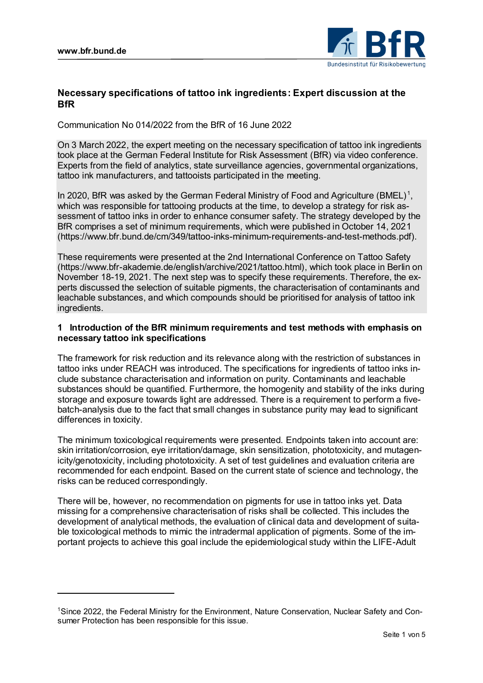$\overline{a}$ 



# **Necessary specifications of tattoo ink ingredients: Expert discussion at the BfR**

Communication No 014/2022 from the BfR of 16 June 2022

On 3 March 2022, the expert meeting on the necessary specification of tattoo ink ingredients took place at the German Federal Institute for Risk Assessment (BfR) via video conference. Experts from the field of analytics, state surveillance agencies, governmental organizations, tattoo ink manufacturers, and tattooists participated in the meeting.

In 2020, BfR was asked by the German Federal Ministry of Food and Agriculture (BMEL)<sup>1</sup>, which was responsible for tattooing products at the time, to develop a strategy for risk assessment of tattoo inks in order to enhance consumer safety. The strategy developed by the BfR comprises a set of minimum requirements, which were published in October 14, 2021 (https://www.bfr.bund.de/cm/349/tattoo-inks-minimum-requirements-and-test-methods.pdf).

These requirements were presented at the 2nd International Conference on Tattoo Safety (https://www.bfr-akademie.de/english/archive/2021/tattoo.html), which took place in Berlin on November 18-19, 2021. The next step was to specify these requirements. Therefore, the experts discussed the selection of suitable pigments, the characterisation of contaminants and leachable substances, and which compounds should be prioritised for analysis of tattoo ink ingredients.

### **1 Introduction of the BfR minimum requirements and test methods with emphasis on necessary tattoo ink specifications**

The framework for risk reduction and its relevance along with the restriction of substances in tattoo inks under REACH was introduced. The specifications for ingredients of tattoo inks include substance characterisation and information on purity. Contaminants and leachable substances should be quantified. Furthermore, the homogenity and stability of the inks during storage and exposure towards light are addressed. There is a requirement to perform a fivebatch-analysis due to the fact that small changes in substance purity may lead to significant differences in toxicity.

The minimum toxicological requirements were presented. Endpoints taken into account are: skin irritation/corrosion, eye irritation/damage, skin sensitization, phototoxicity, and mutagenicity/genotoxicity, including phototoxicity. A set of test guidelines and evaluation criteria are recommended for each endpoint. Based on the current state of science and technology, the risks can be reduced correspondingly.

There will be, however, no recommendation on pigments for use in tattoo inks yet. Data missing for a comprehensive characterisation of risks shall be collected. This includes the development of analytical methods, the evaluation of clinical data and development of suitable toxicological methods to mimic the intradermal application of pigments. Some of the important projects to achieve this goal include the epidemiological study within the LIFE-Adult

<sup>1</sup>Since 2022, the Federal Ministry for the Environment, Nature Conservation, Nuclear Safety and Consumer Protection has been responsible for this issue.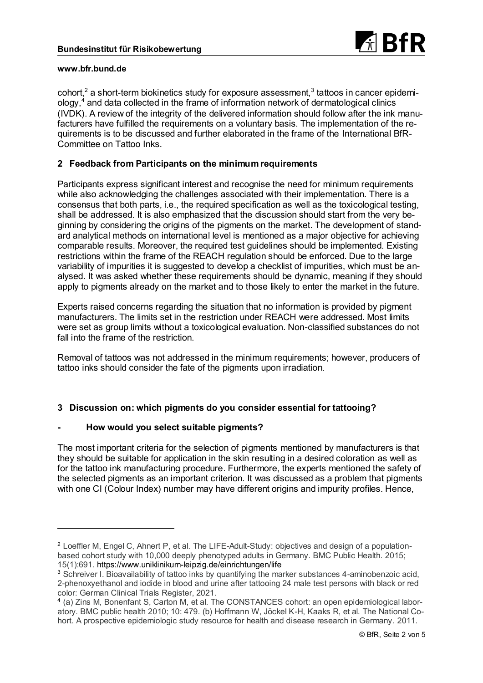

cohort, $^2$  a short-term biokinetics study for exposure assessment, $^3$  tattoos in cancer epidemiology,<sup>4</sup> and data collected in the frame of information network of dermatological clinics (IVDK). A review of the integrity of the delivered information should follow after the ink manufacturers have fulfilled the requirements on a voluntary basis. The implementation of the requirements is to be discussed and further elaborated in the frame of the International BfR-Committee on Tattoo Inks.

# **2 Feedback from Participants on the minimum requirements**

Participants express significant interest and recognise the need for minimum requirements while also acknowledging the challenges associated with their implementation. There is a consensus that both parts, i.e., the required specification as well as the toxicological testing, shall be addressed. It is also emphasized that the discussion should start from the very beginning by considering the origins of the pigments on the market. The development of standard analytical methods on international level is mentioned as a major objective for achieving comparable results. Moreover, the required test guidelines should be implemented. Existing restrictions within the frame of the REACH regulation should be enforced. Due to the large variability of impurities it is suggested to develop a checklist of impurities, which must be analysed. It was asked whether these requirements should be dynamic, meaning if they should apply to pigments already on the market and to those likely to enter the market in the future.

Experts raised concerns regarding the situation that no information is provided by pigment manufacturers. The limits set in the restriction under REACH were addressed. Most limits were set as group limits without a toxicological evaluation. Non-classified substances do not fall into the frame of the restriction.

Removal of tattoos was not addressed in the minimum requirements; however, producers of tattoo inks should consider the fate of the pigments upon irradiation.

# **3 Discussion on: which pigments do you consider essential for tattooing?**

# **- How would you select suitable pigments?**

The most important criteria for the selection of pigments mentioned by manufacturers is that they should be suitable for application in the skin resulting in a desired coloration as well as for the tattoo ink manufacturing procedure. Furthermore, the experts mentioned the safety of the selected pigments as an important criterion. It was discussed as a problem that pigments with one CI (Colour Index) number may have different origins and impurity profiles. Hence,

<sup>2</sup> Loeffler M, Engel C, Ahnert P, et al. The LIFE-Adult-Study: objectives and design of a populationbased cohort study with 10,000 deeply phenotyped adults in Germany. BMC Public Health. 2015; 15(1):691. https://www.uniklinikum-leipzig.de/einrichtungen/life

<sup>&</sup>lt;sup>3</sup> Schreiver I. Bioavailability of tattoo inks by quantifying the marker substances 4-aminobenzoic acid, 2-phenoxyethanol and iodide in blood and urine after tattooing 24 male test persons with black or red color: German Clinical Trials Register, 2021.

<sup>4</sup> (a) Zins M, Bonenfant S, Carton M, et al. The CONSTANCES cohort: an open epidemiological laboratory. BMC public health 2010; 10: 479. (b) Hoffmann W, Jöckel K-H, Kaaks R, et al. The National Cohort. A prospective epidemiologic study resource for health and disease research in Germany. 2011.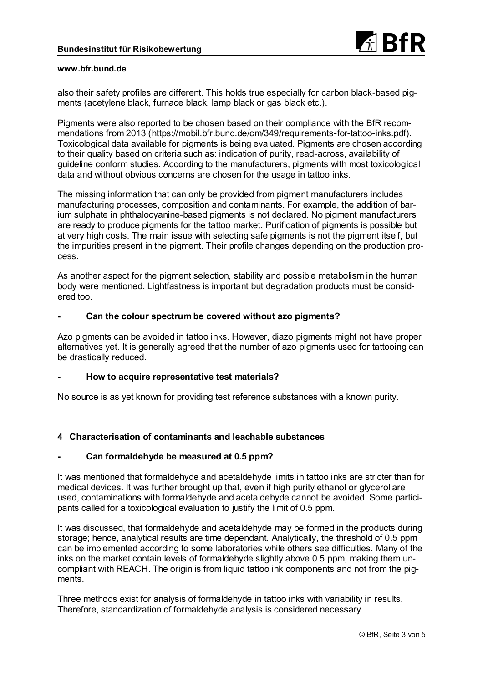

also their safety profiles are different. This holds true especially for carbon black-based pigments (acetylene black, furnace black, lamp black or gas black etc.).

Pigments were also reported to be chosen based on their compliance with the BfR recommendations from 2013 (https://mobil.bfr.bund.de/cm/349/requirements-for-tattoo-inks.pdf). Toxicological data available for pigments is being evaluated. Pigments are chosen according to their quality based on criteria such as: indication of purity, read-across, availability of guideline conform studies. According to the manufacturers, pigments with most toxicological data and without obvious concerns are chosen for the usage in tattoo inks.

The missing information that can only be provided from pigment manufacturers includes manufacturing processes, composition and contaminants. For example, the addition of barium sulphate in phthalocyanine-based pigments is not declared. No pigment manufacturers are ready to produce pigments for the tattoo market. Purification of pigments is possible but at very high costs. The main issue with selecting safe pigments is not the pigment itself, but the impurities present in the pigment. Their profile changes depending on the production process.

As another aspect for the pigment selection, stability and possible metabolism in the human body were mentioned. Lightfastness is important but degradation products must be considered too.

### **- Can the colour spectrum be covered without azo pigments?**

Azo pigments can be avoided in tattoo inks. However, diazo pigments might not have proper alternatives yet. It is generally agreed that the number of azo pigments used for tattooing can be drastically reduced.

#### **- How to acquire representative test materials?**

No source is as yet known for providing test reference substances with a known purity.

# **4 Characterisation of contaminants and leachable substances**

### **- Can formaldehyde be measured at 0.5 ppm?**

It was mentioned that formaldehyde and acetaldehyde limits in tattoo inks are stricter than for medical devices. It was further brought up that, even if high purity ethanol or glycerol are used, contaminations with formaldehyde and acetaldehyde cannot be avoided. Some participants called for a toxicological evaluation to justify the limit of 0.5 ppm.

It was discussed, that formaldehyde and acetaldehyde may be formed in the products during storage; hence, analytical results are time dependant. Analytically, the threshold of 0.5 ppm can be implemented according to some laboratories while others see difficulties. Many of the inks on the market contain levels of formaldehyde slightly above 0.5 ppm, making them uncompliant with REACH. The origin is from liquid tattoo ink components and not from the pigments.

Three methods exist for analysis of formaldehyde in tattoo inks with variability in results. Therefore, standardization of formaldehyde analysis is considered necessary.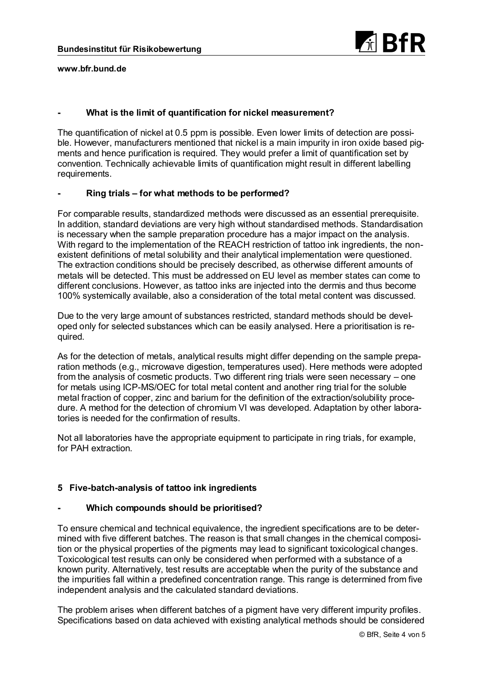

### **- What is the limit of quantification for nickel measurement?**

The quantification of nickel at 0.5 ppm is possible. Even lower limits of detection are possible. However, manufacturers mentioned that nickel is a main impurity in iron oxide based pigments and hence purification is required. They would prefer a limit of quantification set by convention. Technically achievable limits of quantification might result in different labelling requirements.

### **- Ring trials – for what methods to be performed?**

For comparable results, standardized methods were discussed as an essential prerequisite. In addition, standard deviations are very high without standardised methods. Standardisation is necessary when the sample preparation procedure has a major impact on the analysis. With regard to the implementation of the REACH restriction of tattoo ink ingredients, the nonexistent definitions of metal solubility and their analytical implementation were questioned. The extraction conditions should be precisely described, as otherwise different amounts of metals will be detected. This must be addressed on EU level as member states can come to different conclusions. However, as tattoo inks are injected into the dermis and thus become 100% systemically available, also a consideration of the total metal content was discussed.

Due to the very large amount of substances restricted, standard methods should be developed only for selected substances which can be easily analysed. Here a prioritisation is required.

As for the detection of metals, analytical results might differ depending on the sample preparation methods (e.g., microwave digestion, temperatures used). Here methods were adopted from the analysis of cosmetic products. Two different ring trials were seen necessary – one for metals using ICP-MS/OEC for total metal content and another ring trial for the soluble metal fraction of copper, zinc and barium for the definition of the extraction/solubility procedure. A method for the detection of chromium VI was developed. Adaptation by other laboratories is needed for the confirmation of results.

Not all laboratories have the appropriate equipment to participate in ring trials, for example, for PAH extraction.

# **5 Five-batch-analysis of tattoo ink ingredients**

#### **- Which compounds should be prioritised?**

To ensure chemical and technical equivalence, the ingredient specifications are to be determined with five different batches. The reason is that small changes in the chemical composition or the physical properties of the pigments may lead to significant toxicological changes. Toxicological test results can only be considered when performed with a substance of a known purity. Alternatively, test results are acceptable when the purity of the substance and the impurities fall within a predefined concentration range. This range is determined from five independent analysis and the calculated standard deviations.

The problem arises when different batches of a pigment have very different impurity profiles. Specifications based on data achieved with existing analytical methods should be considered